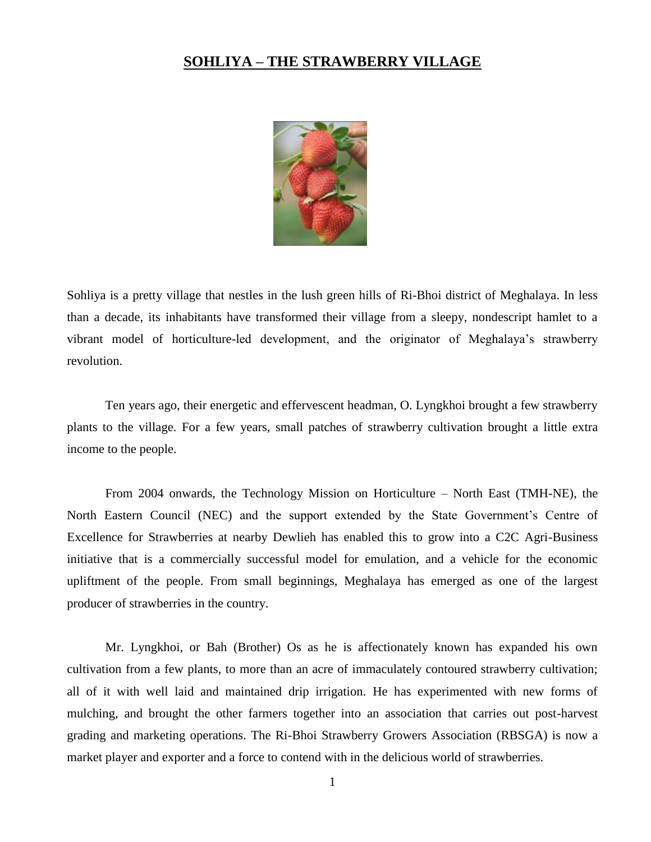## **SOHLIYA – THE STRAWBERRY VILLAGE**



Sohliya is a pretty village that nestles in the lush green hills of Ri-Bhoi district of Meghalaya. In less than a decade, its inhabitants have transformed their village from a sleepy, nondescript hamlet to a vibrant model of horticulture-led development, and the originator of Meghalaya's strawberry revolution.

Ten years ago, their energetic and effervescent headman, O. Lyngkhoi brought a few strawberry plants to the village. For a few years, small patches of strawberry cultivation brought a little extra income to the people.

From 2004 onwards, the Technology Mission on Horticulture – North East (TMH-NE), the North Eastern Council (NEC) and the support extended by the State Government's Centre of Excellence for Strawberries at nearby Dewlieh has enabled this to grow into a C2C Agri-Business initiative that is a commercially successful model for emulation, and a vehicle for the economic upliftment of the people. From small beginnings, Meghalaya has emerged as one of the largest producer of strawberries in the country.

Mr. Lyngkhoi, or Bah (Brother) Os as he is affectionately known has expanded his own cultivation from a few plants, to more than an acre of immaculately contoured strawberry cultivation; all of it with well laid and maintained drip irrigation. He has experimented with new forms of mulching, and brought the other farmers together into an association that carries out post-harvest grading and marketing operations. The Ri-Bhoi Strawberry Growers Association (RBSGA) is now a market player and exporter and a force to contend with in the delicious world of strawberries.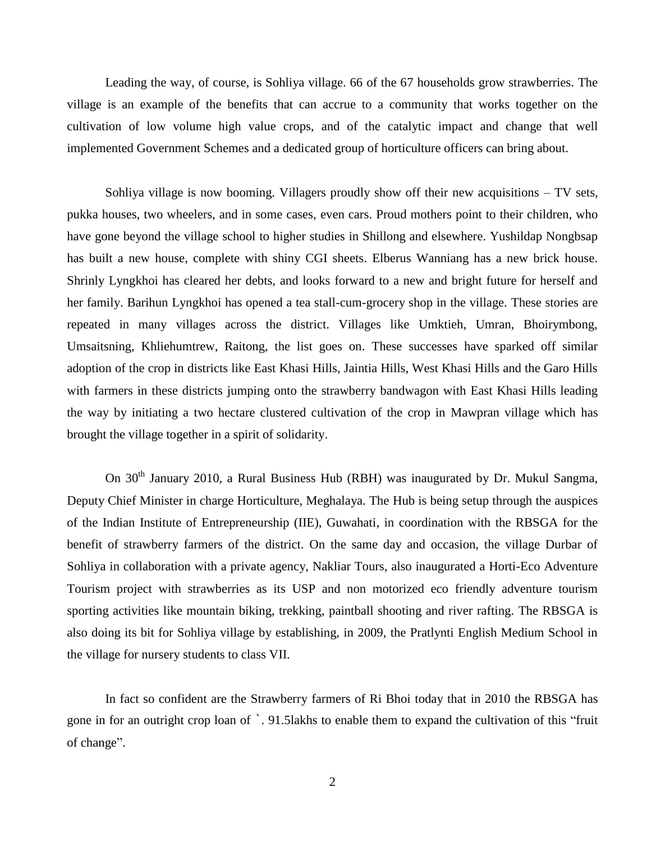Leading the way, of course, is Sohliya village. 66 of the 67 households grow strawberries. The village is an example of the benefits that can accrue to a community that works together on the cultivation of low volume high value crops, and of the catalytic impact and change that well implemented Government Schemes and a dedicated group of horticulture officers can bring about.

Sohliya village is now booming. Villagers proudly show off their new acquisitions – TV sets, pukka houses, two wheelers, and in some cases, even cars. Proud mothers point to their children, who have gone beyond the village school to higher studies in Shillong and elsewhere. Yushildap Nongbsap has built a new house, complete with shiny CGI sheets. Elberus Wanniang has a new brick house. Shrinly Lyngkhoi has cleared her debts, and looks forward to a new and bright future for herself and her family. Barihun Lyngkhoi has opened a tea stall-cum-grocery shop in the village. These stories are repeated in many villages across the district. Villages like Umktieh, Umran, Bhoirymbong, Umsaitsning, Khliehumtrew, Raitong, the list goes on. These successes have sparked off similar adoption of the crop in districts like East Khasi Hills, Jaintia Hills, West Khasi Hills and the Garo Hills with farmers in these districts jumping onto the strawberry bandwagon with East Khasi Hills leading the way by initiating a two hectare clustered cultivation of the crop in Mawpran village which has brought the village together in a spirit of solidarity.

On 30<sup>th</sup> January 2010, a Rural Business Hub (RBH) was inaugurated by Dr. Mukul Sangma, Deputy Chief Minister in charge Horticulture, Meghalaya. The Hub is being setup through the auspices of the Indian Institute of Entrepreneurship (IIE), Guwahati, in coordination with the RBSGA for the benefit of strawberry farmers of the district. On the same day and occasion, the village Durbar of Sohliya in collaboration with a private agency, Nakliar Tours, also inaugurated a Horti-Eco Adventure Tourism project with strawberries as its USP and non motorized eco friendly adventure tourism sporting activities like mountain biking, trekking, paintball shooting and river rafting. The RBSGA is also doing its bit for Sohliya village by establishing, in 2009, the Pratlynti English Medium School in the village for nursery students to class VII.

In fact so confident are the Strawberry farmers of Ri Bhoi today that in 2010 the RBSGA has gone in for an outright crop loan of `. 91.5lakhs to enable them to expand the cultivation of this "fruit of change".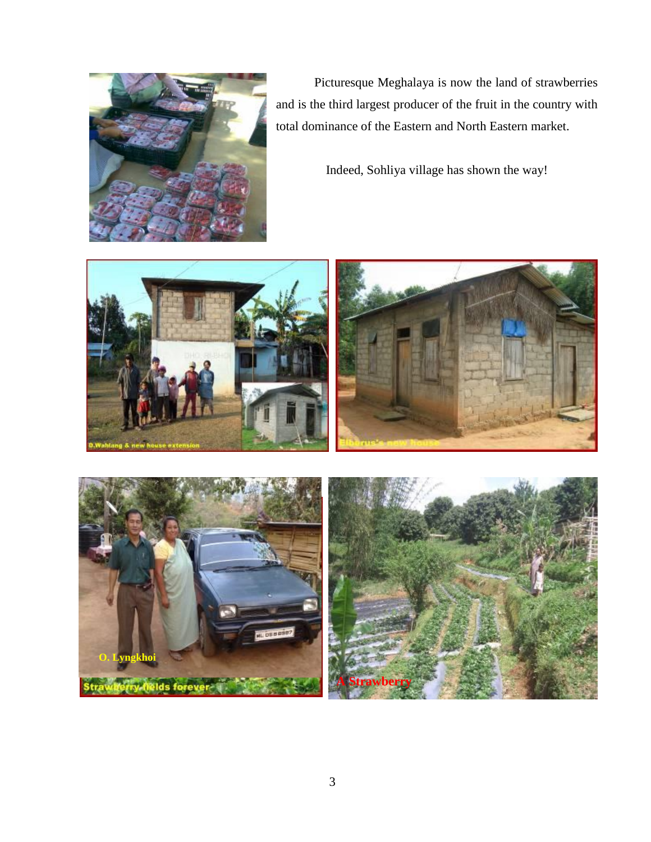

Picturesque Meghalaya is now the land of strawberries and is the third largest producer of the fruit in the country with total dominance of the Eastern and North Eastern market.

Indeed, Sohliya village has shown the way!